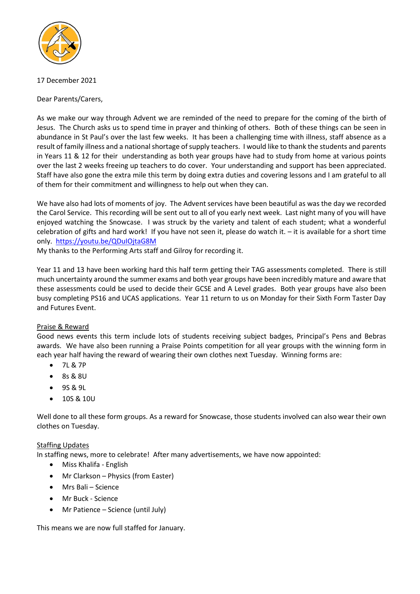

17 December 2021

Dear Parents/Carers,

As we make our way through Advent we are reminded of the need to prepare for the coming of the birth of Jesus. The Church asks us to spend time in prayer and thinking of others. Both of these things can be seen in abundance in St Paul's over the last few weeks. It has been a challenging time with illness, staff absence as a result of family illness and a national shortage of supply teachers. I would like to thank the students and parents in Years 11 & 12 for their understanding as both year groups have had to study from home at various points over the last 2 weeks freeing up teachers to do cover. Your understanding and support has been appreciated. Staff have also gone the extra mile this term by doing extra duties and covering lessons and I am grateful to all of them for their commitment and willingness to help out when they can.

We have also had lots of moments of joy. The Advent services have been beautiful as was the day we recorded the Carol Service. This recording will be sent out to all of you early next week. Last night many of you will have enjoyed watching the Snowcase. I was struck by the variety and talent of each student; what a wonderful celebration of gifts and hard work! If you have not seen it, please do watch it. – it is available for a short time only. <https://youtu.be/QDuIOjtaG8M>

My thanks to the Performing Arts staff and Gilroy for recording it.

Year 11 and 13 have been working hard this half term getting their TAG assessments completed. There is still much uncertainty around the summer exams and both year groups have been incredibly mature and aware that these assessments could be used to decide their GCSE and A Level grades. Both year groups have also been busy completing PS16 and UCAS applications. Year 11 return to us on Monday for their Sixth Form Taster Day and Futures Event.

# Praise & Reward

Good news events this term include lots of students receiving subject badges, Principal's Pens and Bebras awards. We have also been running a Praise Points competition for all year groups with the winning form in each year half having the reward of wearing their own clothes next Tuesday. Winning forms are:

- 7L & 7P
- 8s & 8U
- 9S & 9L
- 10S & 10U

Well done to all these form groups. As a reward for Snowcase, those students involved can also wear their own clothes on Tuesday.

# **Staffing Updates**

In staffing news, more to celebrate! After many advertisements, we have now appointed:

- Miss Khalifa English
- Mr Clarkson Physics (from Easter)
- Mrs Bali Science
- Mr Buck Science
- Mr Patience Science (until July)

This means we are now full staffed for January.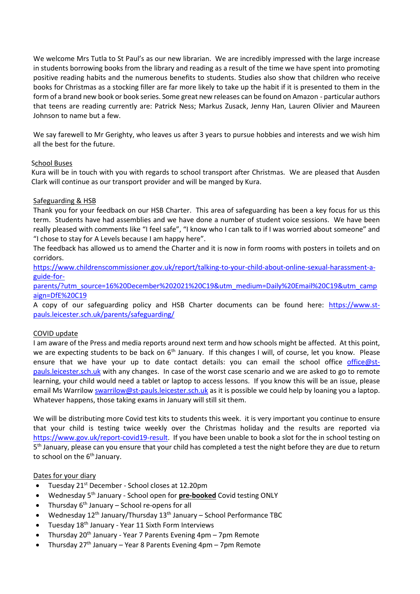We welcome Mrs Tutla to St Paul's as our new librarian. We are incredibly impressed with the large increase in students borrowing books from the library and reading as a result of the time we have spent into promoting positive reading habits and the numerous benefits to students. Studies also show that children who receive books for Christmas as a stocking filler are far more likely to take up the habit if it is presented to them in the form of a brand new book or book series. Some great new releases can be found on Amazon - particular authors that teens are reading currently are: Patrick Ness; Markus Zusack, Jenny Han, Lauren Olivier and Maureen Johnson to name but a few.

We say farewell to Mr Gerighty, who leaves us after 3 years to pursue hobbies and interests and we wish him all the best for the future.

## School Buses

Kura will be in touch with you with regards to school transport after Christmas. We are pleased that Ausden Clark will continue as our transport provider and will be manged by Kura.

## Safeguarding & HSB

Thank you for your feedback on our HSB Charter. This area of safeguarding has been a key focus for us this term. Students have had assemblies and we have done a number of student voice sessions. We have been 23 really pleased with comments like "I feel safe", "I know who I can talk to if I was worried about someone" and "I chose to stay for A Levels because I am happy here".

The feedback has allowed us to amend the Charter and it is now in form rooms with posters in toilets and on corridors.

27 [https://www.childrenscommissioner.gov.uk/report/talking-to-your-child-about-online-sexual-harassment-a](https://www.childrenscommissioner.gov.uk/report/talking-to-your-child-about-online-sexual-harassment-a-guide-for-parents/?utm_source=16%20December%202021%20C19&utm_medium=Daily%20Email%20C19&utm_campaign=DfE%20C19)[guide-for-](https://www.childrenscommissioner.gov.uk/report/talking-to-your-child-about-online-sexual-harassment-a-guide-for-parents/?utm_source=16%20December%202021%20C19&utm_medium=Daily%20Email%20C19&utm_campaign=DfE%20C19)

29 [parents/?utm\\_source=16%20December%202021%20C19&utm\\_medium=Daily%20Email%20C19&utm\\_camp](https://www.childrenscommissioner.gov.uk/report/talking-to-your-child-about-online-sexual-harassment-a-guide-for-parents/?utm_source=16%20December%202021%20C19&utm_medium=Daily%20Email%20C19&utm_campaign=DfE%20C19) [aign=DfE%20C19](https://www.childrenscommissioner.gov.uk/report/talking-to-your-child-about-online-sexual-harassment-a-guide-for-parents/?utm_source=16%20December%202021%20C19&utm_medium=Daily%20Email%20C19&utm_campaign=DfE%20C19)

A copy of our safeguarding policy and HSB Charter documents can be found here: [https://www.st-](https://www.st-pauls.leicester.sch.uk/parents/safeguarding/)32 [pauls.leicester.sch.uk/parents/safeguarding/](https://www.st-pauls.leicester.sch.uk/parents/safeguarding/)

## COVID update

I am aware of the Press and media reports around next term and how schools might be affected. At this point, we are expecting students to be back on 6<sup>th</sup> January. If this changes I will, of course, let you know. Please ensure that we have your up to date contact details: you can email the school office [office@st](mailto:office@st-pauls.leicester.sch.uk)[pauls.leicester.sch.uk](mailto:office@st-pauls.leicester.sch.uk) with any changes. In case of the worst case scenario and we are asked to go to remote learning, your child would need a tablet or laptop to access lessons. If you know this will be an issue, please email Ms Warrilo[w swarrilow@st-pauls.leicester.sch.uk](mailto:swarrilow@st-pauls.leicester.sch.uk) as it is possible we could help by loaning you a laptop. Whatever happens, those taking exams in January will still sit them.

We will be distributing more Covid test kits to students this week. it is very important you continue to ensure that your child is testing twice weekly over the Christmas holiday and the results are reported via [https://www.gov.uk/report-covid19-result.](https://www.gov.uk/report-covid19-result) If you have been unable to book a slot for the in school testing on 5<sup>th</sup> January, please can you ensure that your child has completed a test the night before they are due to return to school on the  $6<sup>th</sup>$  January.

## Dates for your diary

- Tuesday 21<sup>st</sup> December School closes at 12.20pm
- Wednesday 5<sup>th</sup> January School open for **pre-booked** Covid testing ONLY
	- Thursday  $6<sup>th</sup>$  January School re-opens for all
	- Wednesday 12<sup>th</sup> January/Thursday 13<sup>th</sup> January School Performance TBC
	- Tuesday 18<sup>th</sup> January Year 11 Sixth Form Interviews
	- Thursday  $20<sup>th</sup>$  January Year 7 Parents Evening 4pm 7pm Remote
	- Thursday  $27<sup>th</sup>$  January Year 8 Parents Evening 4pm 7pm Remote